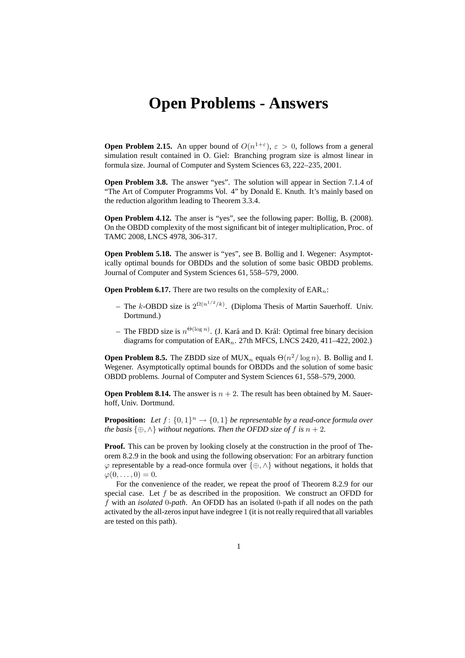## **Open Problems - Answers**

**Open Problem 2.15.** An upper bound of  $O(n^{1+\epsilon})$ ,  $\epsilon > 0$ , follows from a general simulation result contained in O. Giel: Branching program size is almost linear in formula size. Journal of Computer and System Sciences 63, 222–235, 2001.

**Open Problem 3.8.** The answer "yes". The solution will appear in Section 7.1.4 of "The Art of Computer Programms Vol. 4" by Donald E. Knuth. It's mainly based on the reduction algorithm leading to Theorem 3.3.4.

**Open Problem 4.12.** The anser is "yes", see the following paper: Bollig, B. (2008). On the OBDD complexity of the most significant bit of integer multiplication, Proc. of TAMC 2008, LNCS 4978, 306-317.

**Open Problem 5.18.** The answer is "yes", see B. Bollig and I. Wegener: Asymptotically optimal bounds for OBDDs and the solution of some basic OBDD problems. Journal of Computer and System Sciences 61, 558–579, 2000.

**Open Problem 6.17.** There are two results on the complexity of  $\text{EAR}_n$ :

- The k-OBDD size is  $2^{\Omega(n^{1/2}/k)}$ . (Diploma Thesis of Martin Sauerhoff. Univ. Dortmund.)
- The FBDD size is  $n^{\Theta(\log n)}$ . (J. Kará and D. Král: Optimal free binary decision diagrams for computation of  $\text{EAR}_n$ . 27th MFCS, LNCS 2420, 411–422, 2002.)

**Open Problem 8.5.** The ZBDD size of  $MUX_n$  equals  $\Theta(n^2/\log n)$ . B. Bollig and I. Wegener. Asymptotically optimal bounds for OBDDs and the solution of some basic OBDD problems. Journal of Computer and System Sciences 61, 558–579, 2000.

**Open Problem 8.14.** The answer is  $n + 2$ . The result has been obtained by M. Sauerhoff, Univ. Dortmund.

**Proposition:** Let  $f: \{0, 1\}^n \rightarrow \{0, 1\}$  be representable by a read-once formula over *the basis*  $\{\oplus, \wedge\}$  *without negations. Then the OFDD size of* f *is*  $n + 2$ *.* 

**Proof.** This can be proven by looking closely at the construction in the proof of Theorem 8.2.9 in the book and using the following observation: For an arbitrary function  $\varphi$  representable by a read-once formula over  $\{\oplus, \wedge\}$  without negations, it holds that  $\varphi(0,\ldots,0)=0.$ 

For the convenience of the reader, we repeat the proof of Theorem 8.2.9 for our special case. Let  $f$  be as described in the proposition. We construct an OFDD for f with an *isolated* 0*-path*. An OFDD has an isolated 0-path if all nodes on the path activated by the all-zerosinput have indegree 1 (it is not really required that all variables are tested on this path).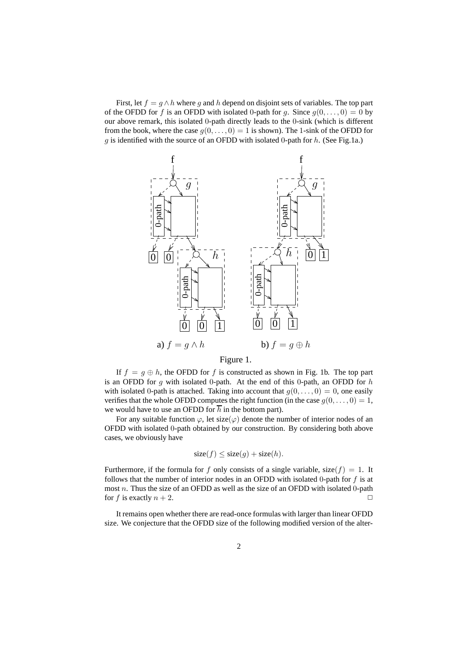First, let  $f = g \wedge h$  where g and h depend on disjoint sets of variables. The top part of the OFDD for f is an OFDD with isolated 0-path for g. Since  $g(0, \ldots, 0) = 0$  by our above remark, this isolated 0-path directly leads to the 0-sink (which is different from the book, where the case  $g(0, \ldots, 0) = 1$  is shown). The 1-sink of the OFDD for  $g$  is identified with the source of an OFDD with isolated 0-path for  $h$ . (See Fig.1a.)



Figure 1.

If  $f = g \oplus h$ , the OFDD for f is constructed as shown in Fig. 1b. The top part is an OFDD for  $g$  with isolated 0-path. At the end of this 0-path, an OFDD for  $h$ with isolated 0-path is attached. Taking into account that  $g(0, \ldots, 0) = 0$ , one easily verifies that the whole OFDD computes the right function (in the case  $g(0, \ldots, 0) = 1$ , we would have to use an OFDD for  $\overline{h}$  in the bottom part).

For any suitable function  $\varphi$ , let size( $\varphi$ ) denote the number of interior nodes of an OFDD with isolated 0-path obtained by our construction. By considering both above cases, we obviously have

$$
size(f) \leq size(g) + size(h).
$$

Furthermore, if the formula for f only consists of a single variable, size(f) = 1. It follows that the number of interior nodes in an OFDD with isolated 0-path for  $f$  is at most  $n$ . Thus the size of an OFDD as well as the size of an OFDD with isolated 0-path for f is exactly  $n + 2$ .

It remains open whether there are read-once formulas with larger than linear OFDD size. We conjecture that the OFDD size of the following modified version of the alter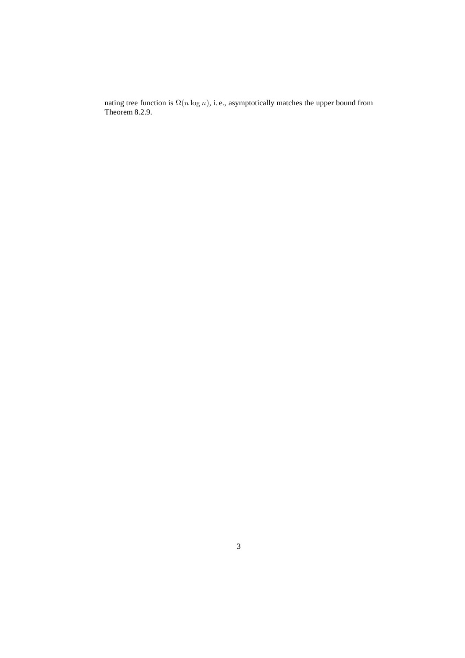nating tree function is  $\Omega(n\log n),$  i.e., asymptotically matches the upper bound from Theorem 8.2.9.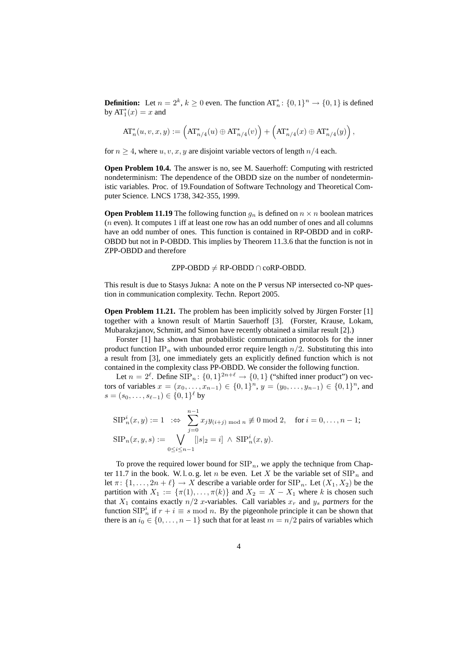**Definition:** Let  $n = 2^k$ ,  $k \ge 0$  even. The function  $AT_n^*$ :  $\{0, 1\}^n \rightarrow \{0, 1\}$  is defined by  $AT_1^*(x) = x$  and

$$
AT_n^*(u, v, x, y) := \left( AT_{n/4}^*(u) \oplus AT_{n/4}^*(v) \right) + \left( AT_{n/4}^*(x) \oplus AT_{n/4}^*(y) \right),
$$

for  $n \geq 4$ , where u, v, x, y are disjoint variable vectors of length  $n/4$  each.

**Open Problem 10.4.** The answer is no, see M. Sauerhoff: Computing with restricted nondeterminism: The dependence of the OBDD size on the number of nondeterministic variables. Proc. of 19.Foundation of Software Technology and Theoretical Computer Science. LNCS 1738, 342-355, 1999.

**Open Problem 11.19** The following function  $g_n$  is defined on  $n \times n$  boolean matrices (n even). It computes 1 iff at least one row has an odd number of ones and all columns have an odd number of ones. This function is contained in RP-OBDD and in coRP-OBDD but not in P-OBDD. This implies by Theorem 11.3.6 that the function is not in ZPP-OBDD and therefore

## $ZPP-OBDD \neq RP-OBDD \cap coRP-OBDD.$

This result is due to Stasys Jukna: A note on the P versus NP intersected co-NP question in communication complexity. Techn. Report 2005.

**Open Problem 11.21.** The problem has been implicitly solved by Jürgen Forster [1] together with a known result of Martin Sauerhoff [3]. (Forster, Krause, Lokam, Mubarakzjanov, Schmitt, and Simon have recently obtained a similar result [2].)

Forster [1] has shown that probabilistic communication protocols for the inner product function IP<sub>n</sub> with unbounded error require length  $n/2$ . Substituting this into a result from [3], one immediately gets an explicitly defined function which is not contained in the complexity class PP-OBDD. We consider the following function.

Let  $n = 2^{\ell}$ . Define  $\text{SIP}_n: \{0, 1\}^{2n + \ell} \to \{0, 1\}$  ("shifted inner product") on vectors of variables  $x = (x_0, \ldots, x_{n-1}) \in \{0, 1\}^n$ ,  $y = (y_0, \ldots, y_{n-1}) \in \{0, 1\}^n$ , and  $s = (s_0, \ldots, s_{\ell-1}) \in \{0, 1\}^{\ell}$  by

$$
\begin{aligned} \text{SIP}_n^i(x, y) &:= 1 \quad \Leftrightarrow \quad \sum_{j=0}^{n-1} x_j y_{(i+j) \bmod n} \not\equiv 0 \bmod 2, \quad \text{for } i = 0, \ldots, n-1; \\ \text{SIP}_n(x, y, s) &:= \bigvee_{0 \le i \le n-1} [|s|_2 = i] \land \text{SIP}_n^i(x, y). \end{aligned}
$$

To prove the required lower bound for  $\text{SIP}_n$ , we apply the technique from Chapter 11.7 in the book. W. l. o. g. let n be even. Let X be the variable set of  $\text{SIP}_n$  and let  $\pi$ :  $\{1, \ldots, 2n + \ell\} \to X$  describe a variable order for  $\text{SIP}_n$ . Let  $(X_1, X_2)$  be the partition with  $X_1 := \{\pi(1), \ldots, \pi(k)\}\$  and  $X_2 = X - X_1$  where k is chosen such that  $X_1$  contains exactly  $n/2$  x-variables. Call variables  $x_r$  and  $y_s$  partners for the function SIP<sup>i</sup><sub>n</sub> if  $r + i \equiv s \mod n$ . By the pigeonhole principle it can be shown that there is an  $i_0 \in \{0, \ldots, n-1\}$  such that for at least  $m = n/2$  pairs of variables which